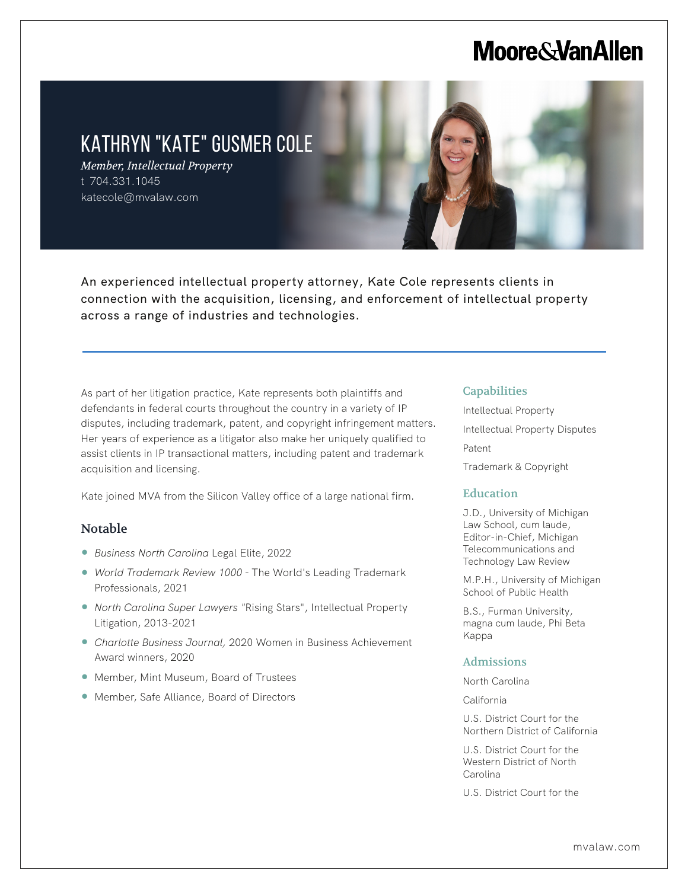## **Moore & Van Allen**

### KATHRYN "KATE" GUSMER COLE

*Member, Intellectual Property* t 704.331.1045 katecole@mvalaw.com



An experienced intellectual property attorney, Kate Cole represents clients in connection with the acquisition, licensing, and enforcement of intellectual property across a range of industries and technologies.

As part of her litigation practice, Kate represents both plaintiffs and defendants in federal courts throughout the country in a variety of IP disputes, including trademark, patent, and copyright infringement matters. Her years of experience as a litigator also make her uniquely qualified to assist clients in IP transactional matters, including patent and trademark acquisition and licensing.

Kate joined MVA from the Silicon Valley office of a large national firm.

#### Notable

L

- *Business North Carolina* Legal Elite, 2022
- *World Trademark Review 1000* The World's Leading Trademark Professionals, 2021
- *North Carolina Super Lawyers* "Rising Stars", Intellectual Property Litigation, 2013-2021
- *Charlotte Business Journal,* 2020 Women in Business Achievement Award winners, 2020
- Member, Mint Museum, Board of Trustees
- Member, Safe Alliance, Board of Directors

#### **Capabilities**

Intellectual Property Intellectual Property Disputes Patent

Trademark & Copyright

#### Education

J.D., University of Michigan Law School, cum laude, Editor-in-Chief, Michigan Telecommunications and Technology Law Review

M.P.H., University of Michigan School of Public Health

B.S., Furman University, magna cum laude, Phi Beta Kappa

#### Admissions

North Carolina

California

U.S. District Court for the Northern District of California

U.S. District Court for the Western District of North Carolina

U.S. District Court for the